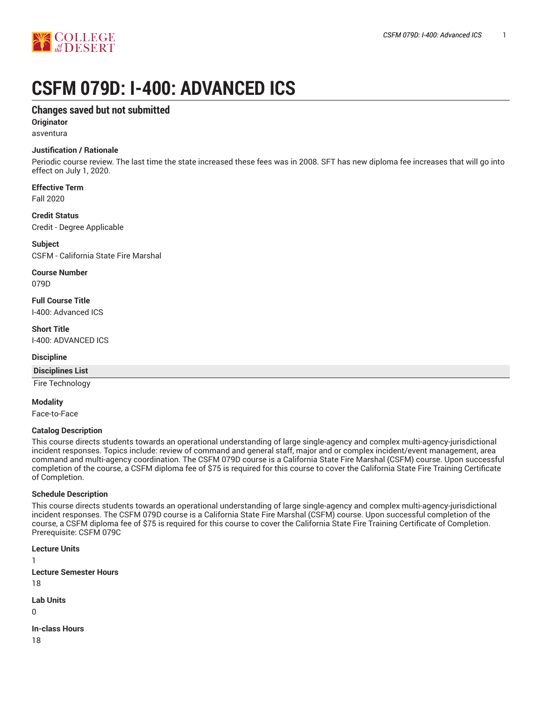

# **CSFM 079D: I-400: ADVANCED ICS**

# **Changes saved but not submitted**

**Originator** asventura

# **Justification / Rationale**

Periodic course review. The last time the state increased these fees was in 2008. SFT has new diploma fee increases that will go into effect on July 1, 2020.

# **Effective Term**

Fall 2020

#### **Credit Status**

Credit - Degree Applicable

**Subject** CSFM - California State Fire Marshal

**Course Number** 079D

**Full Course Title** I-400: Advanced ICS

**Short Title** I-400: ADVANCED ICS

#### **Discipline**

**Disciplines List**

Fire Technology

**Modality**

Face-to-Face

### **Catalog Description**

This course directs students towards an operational understanding of large single-agency and complex multi-agency-jurisdictional incident responses. Topics include: review of command and general staff, major and or complex incident/event management, area command and multi-agency coordination. The CSFM 079D course is a California State Fire Marshal (CSFM) course. Upon successful completion of the course, a CSFM diploma fee of \$75 is required for this course to cover the California State Fire Training Certificate of Completion.

#### **Schedule Description**

This course directs students towards an operational understanding of large single-agency and complex multi-agency-jurisdictional incident responses. The CSFM 079D course is a California State Fire Marshal (CSFM) course. Upon successful completion of the course, a CSFM diploma fee of \$75 is required for this course to cover the California State Fire Training Certificate of Completion. Prerequisite: CSFM 079C

**Lecture Units**

1 **Lecture Semester Hours** 18

**Lab Units**

 $\Omega$ 

**In-class Hours**

18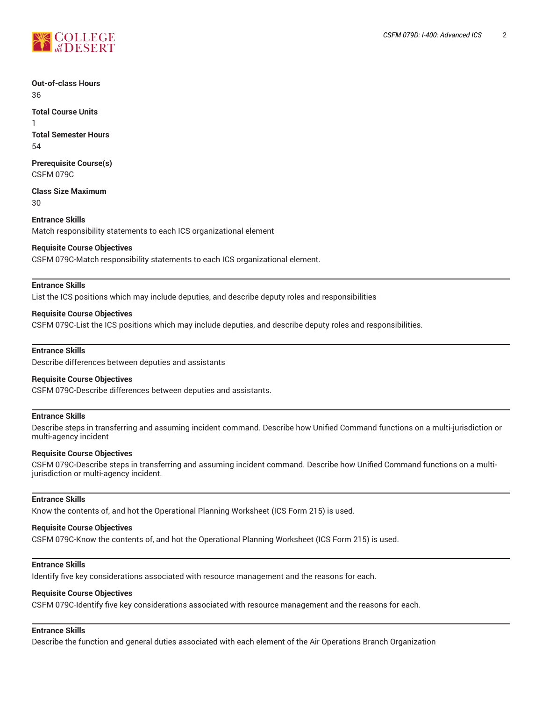

#### **Out-of-class Hours** 36

**Total Course Units** 1 **Total Semester Hours** 54

**Prerequisite Course(s)** CSFM 079C

**Class Size Maximum** 30

**Entrance Skills** Match responsibility statements to each ICS organizational element

#### **Requisite Course Objectives**

CSFM 079C-Match responsibility statements to each ICS organizational element.

#### **Entrance Skills**

List the ICS positions which may include deputies, and describe deputy roles and responsibilities

#### **Requisite Course Objectives**

CSFM 079C-List the ICS positions which may include deputies, and describe deputy roles and responsibilities.

#### **Entrance Skills**

Describe differences between deputies and assistants

#### **Requisite Course Objectives**

CSFM 079C-Describe differences between deputies and assistants.

#### **Entrance Skills**

Describe steps in transferring and assuming incident command. Describe how Unified Command functions on a multi-jurisdiction or multi-agency incident

#### **Requisite Course Objectives**

CSFM 079C-Describe steps in transferring and assuming incident command. Describe how Unified Command functions on a multijurisdiction or multi-agency incident.

#### **Entrance Skills**

Know the contents of, and hot the Operational Planning Worksheet (ICS Form 215) is used.

#### **Requisite Course Objectives**

CSFM 079C-Know the contents of, and hot the Operational Planning Worksheet (ICS Form 215) is used.

# **Entrance Skills**

Identify five key considerations associated with resource management and the reasons for each.

# **Requisite Course Objectives**

CSFM 079C-Identify five key considerations associated with resource management and the reasons for each.

# **Entrance Skills**

Describe the function and general duties associated with each element of the Air Operations Branch Organization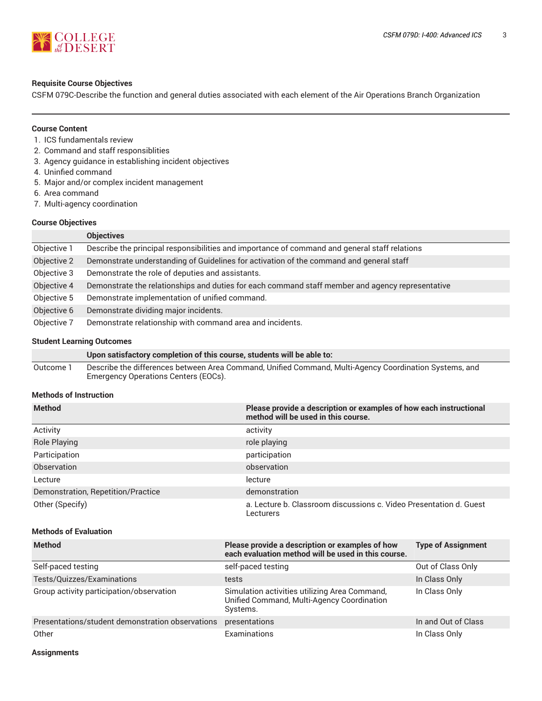

#### **Requisite Course Objectives**

CSFM 079C-Describe the function and general duties associated with each element of the Air Operations Branch Organization

#### **Course Content**

- 1. ICS fundamentals review
- 2. Command and staff responsiblities
- 3. Agency guidance in establishing incident objectives
- 4. Uninfied command
- 5. Major and/or complex incident management
- 6. Area command
- 7. Multi-agency coordination

#### **Course Objectives**

|             | <b>Objectives</b>                                                                                |
|-------------|--------------------------------------------------------------------------------------------------|
| Objective 1 | Describe the principal responsibilities and importance of command and general staff relations    |
| Objective 2 | Demonstrate understanding of Guidelines for activation of the command and general staff          |
| Objective 3 | Demonstrate the role of deputies and assistants.                                                 |
| Objective 4 | Demonstrate the relationships and duties for each command staff member and agency representative |
| Objective 5 | Demonstrate implementation of unified command.                                                   |
| Objective 6 | Demonstrate dividing major incidents.                                                            |
| Objective 7 | Demonstrate relationship with command area and incidents.                                        |

#### **Student Learning Outcomes**

**Upon satisfactory completion of this course, students will be able to:** Outcome 1 Describe the differences between Area Command, Unified Command, Multi-Agency Coordination Systems, and Emergency Operations Centers (EOCs).

#### **Methods of Instruction**

| <b>Method</b>                      | Please provide a description or examples of how each instructional<br>method will be used in this course. |
|------------------------------------|-----------------------------------------------------------------------------------------------------------|
| Activity                           | activity                                                                                                  |
| <b>Role Playing</b>                | role playing                                                                                              |
| Participation                      | participation                                                                                             |
| Observation                        | observation                                                                                               |
| Lecture                            | lecture                                                                                                   |
| Demonstration, Repetition/Practice | demonstration                                                                                             |
| Other (Specify)                    | a. Lecture b. Classroom discussions c. Video Presentation d. Guest<br>Lecturers                           |

# **Methods of Evaluation**

| <b>Method</b>                                    | Please provide a description or examples of how<br>each evaluation method will be used in this course.  | <b>Type of Assignment</b> |
|--------------------------------------------------|---------------------------------------------------------------------------------------------------------|---------------------------|
| Self-paced testing                               | self-paced testing                                                                                      | Out of Class Only         |
| Tests/Quizzes/Examinations                       | tests                                                                                                   | In Class Only             |
| Group activity participation/observation         | Simulation activities utilizing Area Command,<br>Unified Command, Multi-Agency Coordination<br>Systems. | In Class Only             |
| Presentations/student demonstration observations | presentations                                                                                           | In and Out of Class       |
| Other                                            | Examinations                                                                                            | In Class Only             |

**Assignments**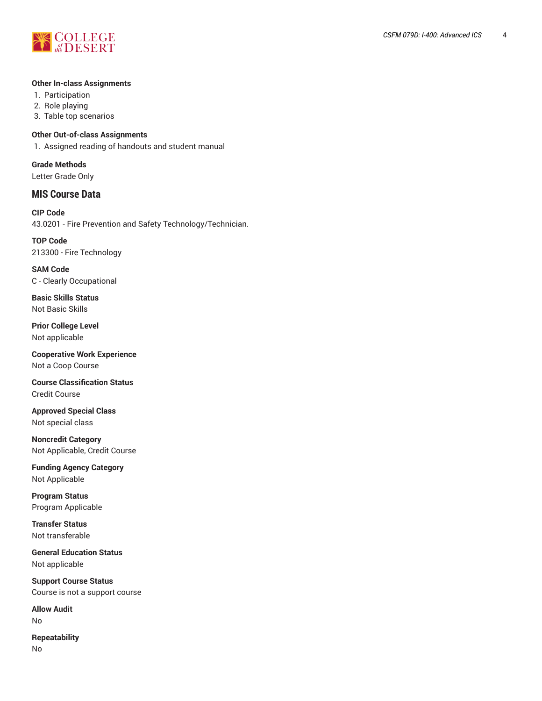

#### **Other In-class Assignments**

- 1. Participation
- 2. Role playing
- 3. Table top scenarios

#### **Other Out-of-class Assignments**

1. Assigned reading of handouts and student manual

**Grade Methods** Letter Grade Only

# **MIS Course Data**

**CIP Code** 43.0201 - Fire Prevention and Safety Technology/Technician.

**TOP Code** 213300 - Fire Technology

**SAM Code** C - Clearly Occupational

**Basic Skills Status** Not Basic Skills

**Prior College Level** Not applicable

**Cooperative Work Experience** Not a Coop Course

**Course Classification Status** Credit Course

**Approved Special Class** Not special class

**Noncredit Category** Not Applicable, Credit Course

**Funding Agency Category** Not Applicable

**Program Status** Program Applicable

**Transfer Status** Not transferable

**General Education Status** Not applicable

**Support Course Status** Course is not a support course

**Allow Audit** No

**Repeatability** No